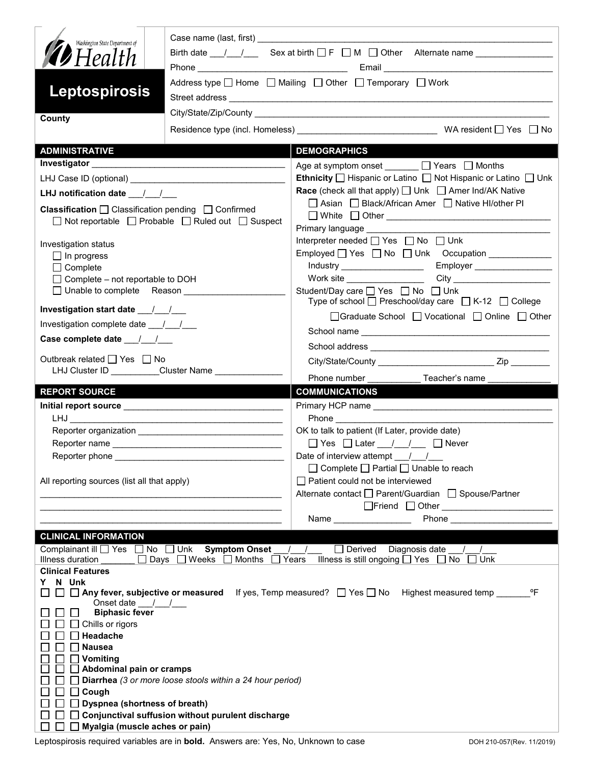| Washington State Department of<br><b>D</b> Health |                                                                       | Birth date $\frac{1}{\sqrt{1-\frac{1}{n}}}$ Sex at birth $\Box F$ $\Box M$ $\Box$ Other Alternate name                                                                                                                                                     |  |  |
|---------------------------------------------------|-----------------------------------------------------------------------|------------------------------------------------------------------------------------------------------------------------------------------------------------------------------------------------------------------------------------------------------------|--|--|
| Leptospirosis                                     |                                                                       | Address type $\Box$ Home $\Box$ Mailing $\Box$ Other $\Box$ Temporary $\Box$ Work                                                                                                                                                                          |  |  |
| County                                            |                                                                       |                                                                                                                                                                                                                                                            |  |  |
|                                                   |                                                                       |                                                                                                                                                                                                                                                            |  |  |
| <b>ADMINISTRATIVE</b>                             |                                                                       | <b>DEMOGRAPHICS</b>                                                                                                                                                                                                                                        |  |  |
|                                                   |                                                                       | Age at symptom onset _______ □ Years □ Months<br><b>Ethnicity</b> $\Box$ Hispanic or Latino $\Box$ Not Hispanic or Latino $\Box$ Unk                                                                                                                       |  |  |
|                                                   |                                                                       | <b>Race</b> (check all that apply) $\Box$ Unk $\Box$ Amer Ind/AK Native                                                                                                                                                                                    |  |  |
| LHJ notification date __/__/__                    |                                                                       | □ Asian □ Black/African Amer □ Native HI/other PI                                                                                                                                                                                                          |  |  |
|                                                   | <b>Classification</b> $\Box$ Classification pending $\Box$ Confirmed  |                                                                                                                                                                                                                                                            |  |  |
|                                                   | $\Box$ Not reportable $\Box$ Probable $\Box$ Ruled out $\Box$ Suspect | Primary language ___________                                                                                                                                                                                                                               |  |  |
| Investigation status                              |                                                                       | Interpreter needed [ Yes   No   Unk                                                                                                                                                                                                                        |  |  |
| $\Box$ In progress                                |                                                                       | Employed Yes No Unk Occupation                                                                                                                                                                                                                             |  |  |
| $\Box$ Complete                                   |                                                                       | Industry _____________________<br>Employer                                                                                                                                                                                                                 |  |  |
| $\Box$ Complete – not reportable to DOH           |                                                                       |                                                                                                                                                                                                                                                            |  |  |
|                                                   | □ Unable to complete Reason                                           | Student/Day care □ Yes □ No □ Unk<br>Type of school $\Box$ Preschool/day care $\Box$ K-12 $\Box$ College                                                                                                                                                   |  |  |
| Investigation complete date ___/___/___           |                                                                       | □Graduate School □ Vocational □ Online □ Other                                                                                                                                                                                                             |  |  |
|                                                   |                                                                       |                                                                                                                                                                                                                                                            |  |  |
|                                                   |                                                                       |                                                                                                                                                                                                                                                            |  |  |
| Outbreak related □ Yes □ No                       | LHJ Cluster ID _________Cluster Name ______________                   |                                                                                                                                                                                                                                                            |  |  |
|                                                   |                                                                       |                                                                                                                                                                                                                                                            |  |  |
| <b>REPORT SOURCE</b>                              |                                                                       | <b>COMMUNICATIONS</b>                                                                                                                                                                                                                                      |  |  |
|                                                   |                                                                       |                                                                                                                                                                                                                                                            |  |  |
|                                                   |                                                                       | OK to talk to patient (If Later, provide date)                                                                                                                                                                                                             |  |  |
|                                                   |                                                                       | $\Box$ Yes $\Box$ Later $\Box$ / $\Box$ Never                                                                                                                                                                                                              |  |  |
| Reporter phone                                    |                                                                       | Date of interview attempt $\left( \begin{array}{cc} \end{array} \right)$                                                                                                                                                                                   |  |  |
|                                                   |                                                                       | □ Complete □ Partial □ Unable to reach                                                                                                                                                                                                                     |  |  |
| All reporting sources (list all that apply)       |                                                                       | □ Patient could not be interviewed                                                                                                                                                                                                                         |  |  |
|                                                   | <u> 1989 - Jan James James Barnett, mars andrewski politik (</u>      | Alternate contact □ Parent/Guardian □ Spouse/Partner                                                                                                                                                                                                       |  |  |
|                                                   |                                                                       |                                                                                                                                                                                                                                                            |  |  |
|                                                   |                                                                       | <b>Phone Contract Contract Contract Contract Contract Contract Contract Contract Contract Contract Contract Contract Contract Contract Contract Contract Contract Contract Contract Contract Contract Contract Contract Contra</b><br>Name _______________ |  |  |
| <b>CLINICAL INFORMATION</b>                       |                                                                       |                                                                                                                                                                                                                                                            |  |  |
|                                                   | Complainant ill Ves No Unk Symptom Onset                              | $\Box$ Derived<br>Diagnosis date / /<br>$\sqrt{ }$                                                                                                                                                                                                         |  |  |
| Illness duration<br><b>Clinical Features</b>      | $\Box$ Days $\Box$ Weeks $\Box$ Months $\Box$                         | Illness is still ongoing □ Yes □ No □ Unk<br>Years                                                                                                                                                                                                         |  |  |
| N Unk<br>Y.                                       |                                                                       |                                                                                                                                                                                                                                                            |  |  |
|                                                   |                                                                       | <b>Any fever, subjective or measured</b> If yes, Temp measured? $\Box$ Yes $\Box$ No Highest measured temp<br>°F                                                                                                                                           |  |  |
| Onset date $\frac{1}{\sqrt{1-\frac{1}{2}}}$       |                                                                       |                                                                                                                                                                                                                                                            |  |  |
| <b>Biphasic fever</b><br>Chills or rigors         |                                                                       |                                                                                                                                                                                                                                                            |  |  |
| Headache                                          |                                                                       |                                                                                                                                                                                                                                                            |  |  |
| <b>Nausea</b>                                     |                                                                       |                                                                                                                                                                                                                                                            |  |  |
| Vomiting                                          |                                                                       |                                                                                                                                                                                                                                                            |  |  |
|                                                   |                                                                       |                                                                                                                                                                                                                                                            |  |  |
| Abdominal pain or cramps                          |                                                                       |                                                                                                                                                                                                                                                            |  |  |
|                                                   | Diarrhea (3 or more loose stools within a 24 hour period)             |                                                                                                                                                                                                                                                            |  |  |
| Cough                                             |                                                                       |                                                                                                                                                                                                                                                            |  |  |
| <b>Dyspnea (shortness of breath)</b>              | Conjunctival suffusion without purulent discharge                     |                                                                                                                                                                                                                                                            |  |  |

Leptospirosis required variables are in **bold.** Answers are: Yes, No, Unknown to case DOH 210-057(Rev. 11/2019)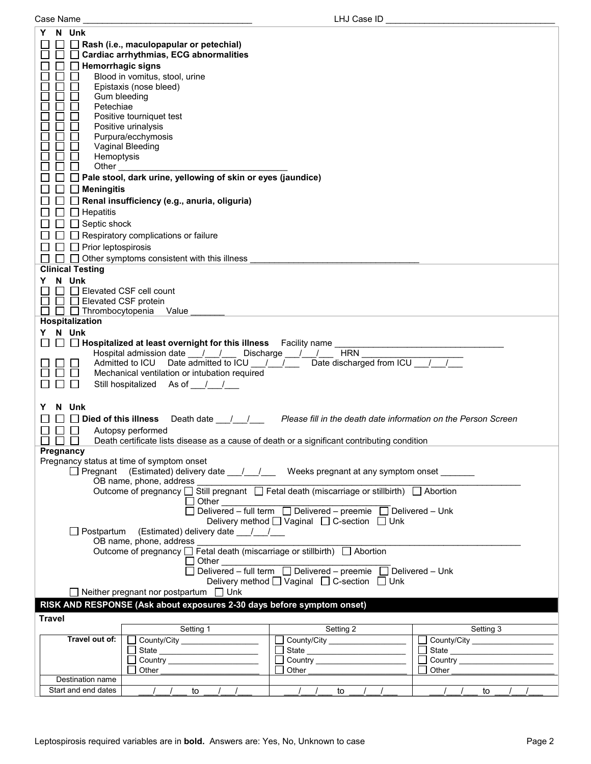| Case Name |
|-----------|
|           |

| N Unk<br>Y                                                                   |                                             |                                                                                             |                                       |  |  |
|------------------------------------------------------------------------------|---------------------------------------------|---------------------------------------------------------------------------------------------|---------------------------------------|--|--|
| Rash (i.e., maculopapular or petechial)                                      |                                             |                                                                                             |                                       |  |  |
| Cardiac arrhythmias, ECG abnormalities                                       |                                             |                                                                                             |                                       |  |  |
|                                                                              |                                             |                                                                                             |                                       |  |  |
| <b>Hemorrhagic signs</b>                                                     |                                             |                                                                                             |                                       |  |  |
| Blood in vomitus, stool, urine                                               |                                             |                                                                                             |                                       |  |  |
| Epistaxis (nose bleed)                                                       |                                             |                                                                                             |                                       |  |  |
| Gum bleeding                                                                 |                                             |                                                                                             |                                       |  |  |
| Petechiae                                                                    |                                             |                                                                                             |                                       |  |  |
|                                                                              |                                             |                                                                                             |                                       |  |  |
| Positive tourniquet test                                                     |                                             |                                                                                             |                                       |  |  |
| Positive urinalysis                                                          |                                             |                                                                                             |                                       |  |  |
| Purpura/ecchymosis                                                           |                                             |                                                                                             |                                       |  |  |
| Vaginal Bleeding                                                             |                                             |                                                                                             |                                       |  |  |
| Hemoptysis                                                                   |                                             |                                                                                             |                                       |  |  |
| Other                                                                        |                                             |                                                                                             |                                       |  |  |
|                                                                              |                                             |                                                                                             |                                       |  |  |
| Pale stool, dark urine, yellowing of skin or eyes (jaundice)                 |                                             |                                                                                             |                                       |  |  |
| <b>Meningitis</b>                                                            |                                             |                                                                                             |                                       |  |  |
| Renal insufficiency (e.g., anuria, oliguria)                                 |                                             |                                                                                             |                                       |  |  |
|                                                                              |                                             |                                                                                             |                                       |  |  |
| $\Box$ Hepatitis                                                             |                                             |                                                                                             |                                       |  |  |
| $\Box$ Septic shock                                                          |                                             |                                                                                             |                                       |  |  |
| Respiratory complications or failure                                         |                                             |                                                                                             |                                       |  |  |
|                                                                              |                                             |                                                                                             |                                       |  |  |
| $\Box$ Prior leptospirosis                                                   |                                             |                                                                                             |                                       |  |  |
| $\Box$ Other symptoms consistent with this illness<br>$\perp$                |                                             |                                                                                             |                                       |  |  |
| <b>Clinical Testing</b>                                                      |                                             |                                                                                             |                                       |  |  |
| Y N Unk                                                                      |                                             |                                                                                             |                                       |  |  |
|                                                                              |                                             |                                                                                             |                                       |  |  |
| Elevated CSF cell count                                                      |                                             |                                                                                             |                                       |  |  |
| $\Box$ Elevated CSF protein                                                  |                                             |                                                                                             |                                       |  |  |
| $\Box$ Thrombocytopenia<br>$\Box$<br>Value                                   |                                             |                                                                                             |                                       |  |  |
| Hospitalization                                                              |                                             |                                                                                             |                                       |  |  |
| Y N Unk                                                                      |                                             |                                                                                             |                                       |  |  |
|                                                                              |                                             |                                                                                             |                                       |  |  |
| $\Box$ <b>Hospitalized at least overnight for this illness</b> Facility name |                                             |                                                                                             |                                       |  |  |
| Hospital admission date / /                                                  |                                             | <b>HRN</b><br>Discharge $\frac{1}{1}$                                                       |                                       |  |  |
| Admitted to ICU                                                              | Date admitted to ICU / /                    | Date discharged from ICU /                                                                  |                                       |  |  |
| Mechanical ventilation or intubation required                                |                                             |                                                                                             |                                       |  |  |
|                                                                              |                                             |                                                                                             |                                       |  |  |
| Still hospitalized As of //                                                  |                                             |                                                                                             |                                       |  |  |
|                                                                              |                                             |                                                                                             |                                       |  |  |
| N Unk                                                                        |                                             |                                                                                             |                                       |  |  |
|                                                                              |                                             | Please fill in the death date information on the Person Screen                              |                                       |  |  |
| Died of this illness                                                         | Death date / /                              |                                                                                             |                                       |  |  |
| Autopsy performed                                                            |                                             |                                                                                             |                                       |  |  |
|                                                                              |                                             | Death certificate lists disease as a cause of death or a significant contributing condition |                                       |  |  |
| Pregnancy                                                                    |                                             |                                                                                             |                                       |  |  |
| Pregnancy status at time of symptom onset                                    |                                             |                                                                                             |                                       |  |  |
|                                                                              |                                             |                                                                                             |                                       |  |  |
|                                                                              |                                             | $\Box$ Pregnant (Estimated) delivery date $\Box$ / Weeks pregnant at any symptom onset      |                                       |  |  |
| OB name, phone, address                                                      |                                             |                                                                                             |                                       |  |  |
|                                                                              |                                             | Outcome of pregnancy □ Still pregnant □ Fetal death (miscarriage or stillbirth) □ Abortion  |                                       |  |  |
|                                                                              | Other                                       |                                                                                             |                                       |  |  |
|                                                                              |                                             |                                                                                             |                                       |  |  |
| Delivery method [ Vaginal [ C-section [ Unk                                  |                                             |                                                                                             |                                       |  |  |
| □ Postpartum (Estimated) delivery date __/ __/                               |                                             |                                                                                             |                                       |  |  |
|                                                                              |                                             |                                                                                             |                                       |  |  |
| OB name, phone, address                                                      |                                             |                                                                                             |                                       |  |  |
| Outcome of pregnancy □ Fetal death (miscarriage or stillbirth) □ Abortion    |                                             |                                                                                             |                                       |  |  |
|                                                                              |                                             |                                                                                             |                                       |  |  |
|                                                                              |                                             |                                                                                             |                                       |  |  |
|                                                                              | Delivery method [ Vaginal [ C-section [ Unk |                                                                                             |                                       |  |  |
|                                                                              |                                             |                                                                                             |                                       |  |  |
| $\Box$ Neither pregnant nor postpartum $\Box$ Unk                            |                                             |                                                                                             |                                       |  |  |
| RISK AND RESPONSE (Ask about exposures 2-30 days before symptom onset)       |                                             |                                                                                             |                                       |  |  |
|                                                                              |                                             |                                                                                             |                                       |  |  |
| <b>Travel</b>                                                                |                                             |                                                                                             |                                       |  |  |
|                                                                              | Setting 1                                   | Setting 2                                                                                   | Setting 3                             |  |  |
| Travel out of:                                                               | County/City _________________               | County/City __________________                                                              | □ County/City __________________      |  |  |
|                                                                              |                                             |                                                                                             | □ State <u>______________________</u> |  |  |
|                                                                              | State _________________________             | State                                                                                       |                                       |  |  |
|                                                                              |                                             |                                                                                             |                                       |  |  |
| Other                                                                        |                                             | Other                                                                                       | Other                                 |  |  |
| Destination name                                                             |                                             |                                                                                             |                                       |  |  |
| Start and end dates<br>$\frac{1}{2}$                                         | to<br>$\sqrt{2}$                            | $\sqrt{2}$<br>to                                                                            | to<br>$\prime$                        |  |  |
|                                                                              |                                             |                                                                                             |                                       |  |  |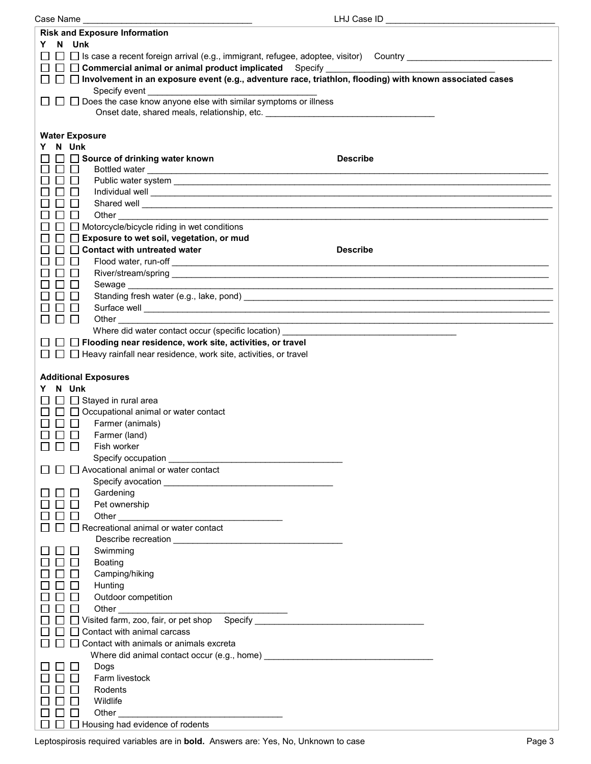| Case Name                                                                                                                                                                                                                                | LHJ Case ID                                                                                                          |
|------------------------------------------------------------------------------------------------------------------------------------------------------------------------------------------------------------------------------------------|----------------------------------------------------------------------------------------------------------------------|
|                                                                                                                                                                                                                                          |                                                                                                                      |
| <b>Risk and Exposure Information</b>                                                                                                                                                                                                     |                                                                                                                      |
| N Unk<br>Y.                                                                                                                                                                                                                              |                                                                                                                      |
| $\Box~\Box$ Is case a recent foreign arrival (e.g., immigrant, refugee, adoptee, visitor)  Country ____________________                                                                                                                  |                                                                                                                      |
|                                                                                                                                                                                                                                          |                                                                                                                      |
| $\Box$ Commercial animal or animal product implicated Specify $\Box$                                                                                                                                                                     |                                                                                                                      |
| $\Box$ Involvement in an exposure event (e.g., adventure race, triathlon, flooding) with known associated cases                                                                                                                          |                                                                                                                      |
| Specify event                                                                                                                                                                                                                            |                                                                                                                      |
|                                                                                                                                                                                                                                          |                                                                                                                      |
| □ Does the case know anyone else with similar symptoms or illness                                                                                                                                                                        |                                                                                                                      |
| Onset date, shared meals, relationship, etc. ___________________________________                                                                                                                                                         |                                                                                                                      |
|                                                                                                                                                                                                                                          |                                                                                                                      |
|                                                                                                                                                                                                                                          |                                                                                                                      |
| <b>Water Exposure</b>                                                                                                                                                                                                                    |                                                                                                                      |
| Y N Unk                                                                                                                                                                                                                                  |                                                                                                                      |
| Source of drinking water known                                                                                                                                                                                                           | <b>Describe</b>                                                                                                      |
|                                                                                                                                                                                                                                          |                                                                                                                      |
|                                                                                                                                                                                                                                          |                                                                                                                      |
|                                                                                                                                                                                                                                          |                                                                                                                      |
|                                                                                                                                                                                                                                          |                                                                                                                      |
|                                                                                                                                                                                                                                          |                                                                                                                      |
| Shared well enter the contract of the contract of the contract of the contract of the contract of the contract of the contract of the contract of the contract of the contract of the contract of the contract of the contract           |                                                                                                                      |
| Other and the contract of the contract of the contract of the contract of the contract of the contract of the contract of the contract of the contract of the contract of the contract of the contract of the contract of the<br>$\perp$ |                                                                                                                      |
| $\Box$ Motorcycle/bicycle riding in wet conditions                                                                                                                                                                                       |                                                                                                                      |
|                                                                                                                                                                                                                                          |                                                                                                                      |
| □ Exposure to wet soil, vegetation, or mud                                                                                                                                                                                               |                                                                                                                      |
| $\Box$ Contact with untreated water                                                                                                                                                                                                      | <b>Describe</b>                                                                                                      |
|                                                                                                                                                                                                                                          |                                                                                                                      |
|                                                                                                                                                                                                                                          |                                                                                                                      |
| River/stream/spring entertainment of the contract of the contract of the contract of the contract of the contract of the contract of the contract of the contract of the contract of the contract of the contract of the contr           |                                                                                                                      |
|                                                                                                                                                                                                                                          |                                                                                                                      |
|                                                                                                                                                                                                                                          |                                                                                                                      |
|                                                                                                                                                                                                                                          |                                                                                                                      |
|                                                                                                                                                                                                                                          |                                                                                                                      |
| $\mathbf{I}$                                                                                                                                                                                                                             |                                                                                                                      |
|                                                                                                                                                                                                                                          | <u> 1989 - Johann Barbara, markazi batar da bashkar a shekara ta 1989 - An tsara tsara tsara tsara tsara tsara t</u> |
| Where did water contact occur (specific location) example and the set of the set of the set of the set of the set of the set of the set of the set of the set of the set of the set of the set of the set of the set of the se           |                                                                                                                      |
| □ □ Flooding near residence, work site, activities, or travel                                                                                                                                                                            |                                                                                                                      |
| $\Box$ Heavy rainfall near residence, work site, activities, or travel                                                                                                                                                                   |                                                                                                                      |
|                                                                                                                                                                                                                                          |                                                                                                                      |
|                                                                                                                                                                                                                                          |                                                                                                                      |
| <b>Additional Exposures</b>                                                                                                                                                                                                              |                                                                                                                      |
|                                                                                                                                                                                                                                          |                                                                                                                      |
| Y N Unk                                                                                                                                                                                                                                  |                                                                                                                      |
| $\Box$ Stayed in rural area                                                                                                                                                                                                              |                                                                                                                      |
| $\Box$ $\Box$ Occupational animal or water contact                                                                                                                                                                                       |                                                                                                                      |
|                                                                                                                                                                                                                                          |                                                                                                                      |
| Farmer (animals)<br>$\mathbf{I}$                                                                                                                                                                                                         |                                                                                                                      |
| Farmer (land)                                                                                                                                                                                                                            |                                                                                                                      |
| Fish worker                                                                                                                                                                                                                              |                                                                                                                      |
|                                                                                                                                                                                                                                          |                                                                                                                      |
|                                                                                                                                                                                                                                          |                                                                                                                      |
| $\Box$ Avocational animal or water contact                                                                                                                                                                                               |                                                                                                                      |
|                                                                                                                                                                                                                                          |                                                                                                                      |
|                                                                                                                                                                                                                                          |                                                                                                                      |
| Gardening                                                                                                                                                                                                                                |                                                                                                                      |
| Pet ownership                                                                                                                                                                                                                            |                                                                                                                      |
|                                                                                                                                                                                                                                          |                                                                                                                      |
|                                                                                                                                                                                                                                          |                                                                                                                      |
| Recreational animal or water contact                                                                                                                                                                                                     |                                                                                                                      |
|                                                                                                                                                                                                                                          |                                                                                                                      |
|                                                                                                                                                                                                                                          |                                                                                                                      |
| Swimming                                                                                                                                                                                                                                 |                                                                                                                      |
| Boating                                                                                                                                                                                                                                  |                                                                                                                      |
| Camping/hiking                                                                                                                                                                                                                           |                                                                                                                      |
|                                                                                                                                                                                                                                          |                                                                                                                      |
| Hunting                                                                                                                                                                                                                                  |                                                                                                                      |
| Outdoor competition                                                                                                                                                                                                                      |                                                                                                                      |
|                                                                                                                                                                                                                                          |                                                                                                                      |
|                                                                                                                                                                                                                                          |                                                                                                                      |
| Visited farm, zoo, fair, or pet shop Specify ___________________________________                                                                                                                                                         |                                                                                                                      |
| Contact with animal carcass                                                                                                                                                                                                              |                                                                                                                      |
|                                                                                                                                                                                                                                          |                                                                                                                      |
| Contact with animals or animals excreta                                                                                                                                                                                                  |                                                                                                                      |
| Where did animal contact occur (e.g., home) $\qquad \qquad$                                                                                                                                                                              |                                                                                                                      |
| Dogs                                                                                                                                                                                                                                     |                                                                                                                      |
|                                                                                                                                                                                                                                          |                                                                                                                      |
| Farm livestock                                                                                                                                                                                                                           |                                                                                                                      |
| Rodents                                                                                                                                                                                                                                  |                                                                                                                      |
|                                                                                                                                                                                                                                          |                                                                                                                      |
| Wildlife                                                                                                                                                                                                                                 |                                                                                                                      |
|                                                                                                                                                                                                                                          |                                                                                                                      |
| Other                                                                                                                                                                                                                                    |                                                                                                                      |
| Housing had evidence of rodents                                                                                                                                                                                                          |                                                                                                                      |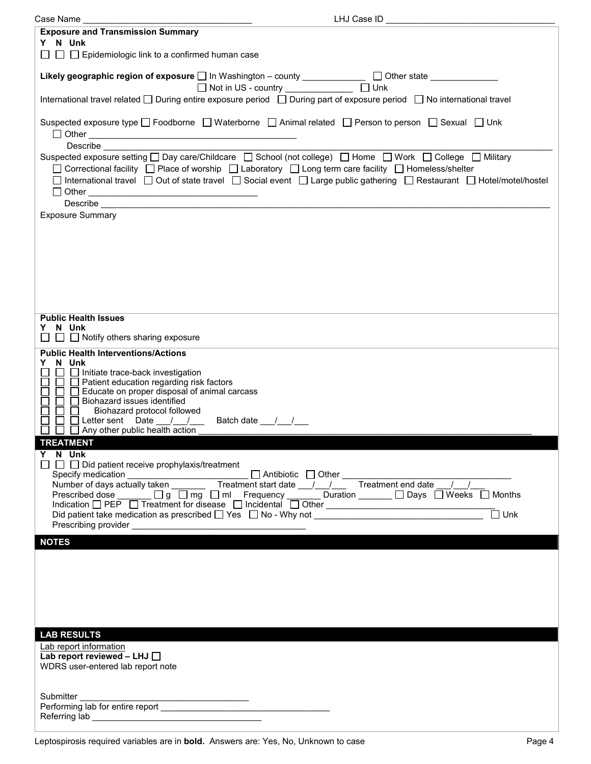| LHJ Case ID<br>Case Name                                                                                                                                                                                                                                                                                                                                           |
|--------------------------------------------------------------------------------------------------------------------------------------------------------------------------------------------------------------------------------------------------------------------------------------------------------------------------------------------------------------------|
| <b>Exposure and Transmission Summary</b><br>Y N Unk                                                                                                                                                                                                                                                                                                                |
| $\Box$ $\Box$ Epidemiologic link to a confirmed human case                                                                                                                                                                                                                                                                                                         |
| Likely geographic region of exposure □ In Washington - county ___________ □ Other state ___________<br>□ Not in US - country ______________ □ Unk                                                                                                                                                                                                                  |
| International travel related □ During entire exposure period □ During part of exposure period □ No international travel                                                                                                                                                                                                                                            |
| Suspected exposure type □ Foodborne □ Waterborne □ Animal related □ Person to person □ Sexual □ Unk                                                                                                                                                                                                                                                                |
| Describe<br>Suspected exposure setting □ Day care/Childcare □ School (not college) □ Home □ Work □ College □ Military<br>□ Correctional facility □ Place of worship □ Laboratory □ Long term care facility □ Homeless/shelter<br>□ International travel □ Out of state travel □ Social event □ Large public gathering □ Restaurant □ Hotel/motel/hostel            |
| <b>Exposure Summary</b>                                                                                                                                                                                                                                                                                                                                            |
|                                                                                                                                                                                                                                                                                                                                                                    |
| <b>Public Health Issues</b><br>Y N Unk<br>$\Box$ $\Box$ Notify others sharing exposure                                                                                                                                                                                                                                                                             |
| <b>Public Health Interventions/Actions</b><br>Y N Unk<br>$\Box$ Initiate trace-back investigation<br>$\Box$ Patient education regarding risk factors<br>$\Box$ Educate on proper disposal of animal carcass<br>Biohazard issues identified<br>Biohazard protocol followed<br>Letter sent Date __/__/__<br>Batch date ___/___/___<br>Any other public health action |
| <b>TREATMENT</b><br>Y N Unk                                                                                                                                                                                                                                                                                                                                        |
| $\Box$ Did patient receive prophylaxis/treatment<br>Specify medication<br>Number of days actually taken<br>Prescribed dose<br>$\Box$ on $\Box$ mg $\Box$ ml $\Box$ Frequency $\Box$ Duration $\Box$ Days $\Box$ Weeks $\Box$ Months<br>$\overline{\Box}$ Unk                                                                                                       |
| <b>NOTES</b>                                                                                                                                                                                                                                                                                                                                                       |
|                                                                                                                                                                                                                                                                                                                                                                    |
|                                                                                                                                                                                                                                                                                                                                                                    |
| <b>LAB RESULTS</b>                                                                                                                                                                                                                                                                                                                                                 |
| Lab report information<br>Lab report reviewed - LHJ $\Box$<br>WDRS user-entered lab report note                                                                                                                                                                                                                                                                    |
| Referring lab                                                                                                                                                                                                                                                                                                                                                      |